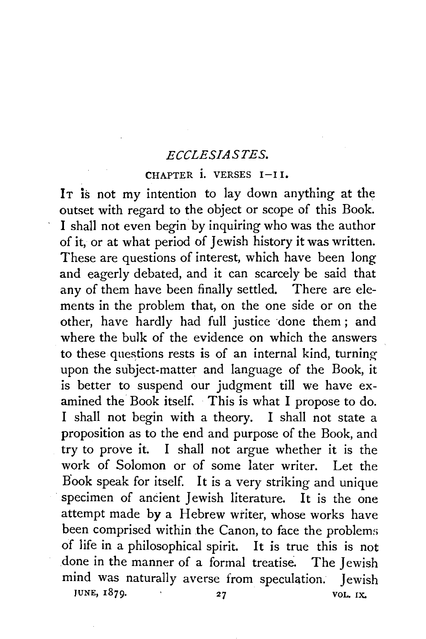## *ECCLESIASTES.*

## CHAPTER  $i$ . VERSES  $I-I$ <sub>1</sub>.

It is not my intention to lay down anything at the outset with regard to the object or scope of this Book. I shall not even begin by inquiring who was the author of it, or at what period of Jewish history it was written. These are questions of interest, which have been long and eagerly debated, and it can scarcely be said that any of them have been finally settled. There are elements in the problem that, on the one side or on the other, have hardly had full justice done them; and where the bulk of the evidence on which the answers to these questions rests is of an internal kind, turningupon the subject-matter and language of the Book, it is better to suspend our judgment till we have examined the Book itself. This is what I propose to do. I shall not begin with a theory. I shall not state a proposition as to the end and purpose of the Book, and try to prove it. I shall not argue whether it is the work of Solomon or of some later writer. Let the B'ook speak for itself. It is a very striking and unique specimen of ancient Jewish literature. It is the one attempt made by a Hebrew writer, whose works have been comprised within the Canon, to face the problems of life in a philosophical spirit. It is true this is not .done in the manner of a formal treatise. The Jewish mind was naturally averse from speculation. Jewish JUNE,  $1879.$  27 VOL. IX.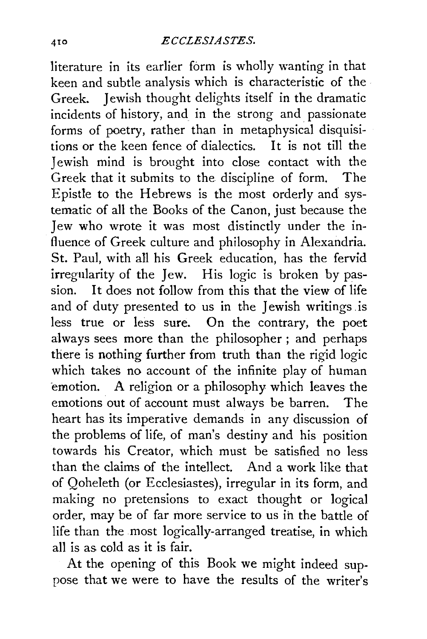literature in its earlier form is wholly wanting in that keen and subtle analysis which is characteristic of the Greek. Jewish thought delights itself in the dramatic incidents of history, and in the strong and passionate forms of poetry, rather than in metaphysical disquisitions or the keen fence of dialectics. It is not till the Jewish mind is brought into close contact with the Greek that it submits to the discipline of form. The Epistle to the Hebrews is the most orderly and systematic of all the Books of the Canon, just because the Jew who wrote it was most distinctly under the influence of Greek culture and philosophy in Alexandria. St. Paul, with all his Greek education, has the fervid irregularity of the Jew. His logic is broken by passion. It does not follow from this that the view of life and of duty presented to us in the Jewish writings. is less true or less sure. On the contrary, the poet always sees more than the philosopher ; and perhaps there is nothing further from truth than the rigid logic which takes no account of the infinite play of human ·emotion. A religion or a philosophy which leaves the emotions out of account must always be barren. The heart has its imperative demands in any discussion of the problems of life, of man's destiny and his position towards his Creator, which must be satisfied no less than the claims of the intellect. And a work like that of Qoheleth (or Ecclesiastes), irregular in its form, and making no pretensions to exact thought or logical order, may be of far more service to us ih the battle of life than the most logically-arranged treatise, in which all is as cold as it is fair.

At the opening of this Book we might indeed suppose that we were to have the results of the writer's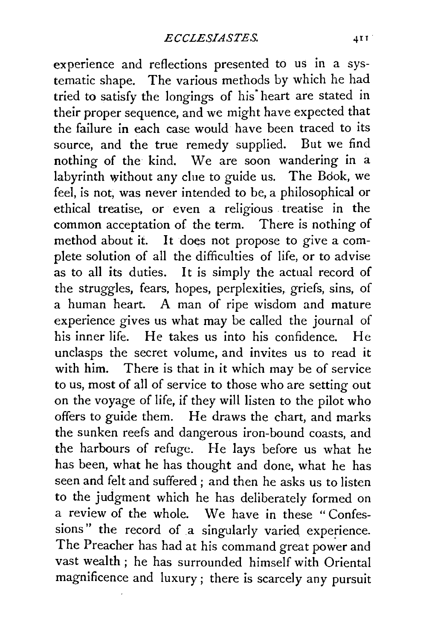experience and reflections presented to us in a systematic shape. The various methods by which he had tried to satisfy the longings of his" heart are stated in their proper sequence, and we might have expected that the failure in each case would have been traced to its source, and the true remedy supplied. But we find nothing of the kind. We are soon wandering in a labyrinth without any clue to guide us. The Book, we feel, is not, was never intended to be, a philosophical or ethical treatise, or even a religious treatise in the common acceptation of the term. There is nothing of method about *it.* It does not propose to give a complete solution of all the difficulties of life, or to advise as to all its duties. It is simply the actual record of the struggles, fears, hopes, perplexities, griefs, sins, of a human heart. A man of ripe wisdom and mature experience gives us what may be called the journal of his inner life. He takes us into his confidence. He unclasps the secret volume, and invites us to read it with him. There is that in it which may be of service to us, most of all of service to those who are setting out on the voyage of life, if they will listen to the pilot who offers to guide them. He draws the chart, and marks the sunken reefs and dangerous iron-bound coasts, and the harbours of refuge. He lays before us what he has been, what he has thought and done, what he has seen and felt and suffered ; and then he asks us to listen to the judgment which he has deliberately formed on a review of the whole. We have in these "Confessions" the record of a singularly varied experience. The Preacher has had at his command great power and vast wealth ; he has surrounded himself with Oriental magnificence and luxury; there is scarcely any pursuit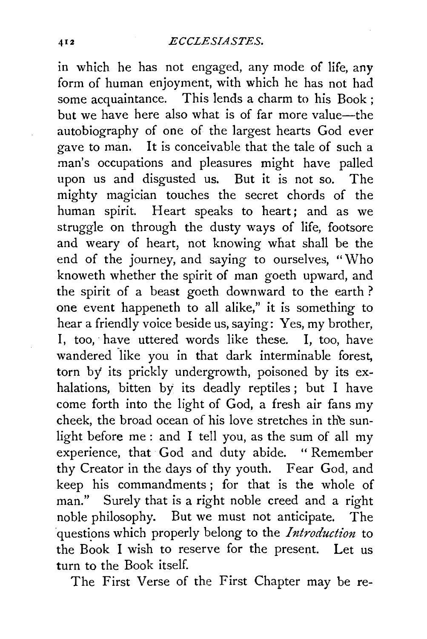in which he has not engaged, any mode of life, any form of human enjoyment, with which he has not had some acquaintance. This lends a charm to his Book ; but we have here also what is of far more value-the autobiography of one of the largest hearts God ever gave to man. It is conceivable that the tale of such a man's occupations and pleasures might have palled upon us and disgusted us. But it is not so. The mighty magician touches the secret chords of the human spirit. Heart speaks to heart; and as we struggle on through the dusty ways of life, footsore and weary of heart, not knowing what shall be the end of the journey, and saying to ourselves, "Who knoweth whether the spirit of man goeth upward, and the spirit of a beast goeth downward to the earth? one event happeneth to all alike," it is something to hear a friendly voice beside us, saying: Yes, my brother, I, too, have uttered words like these. I, too, have wandered like you in that dark interminable forest, torn by its prickly undergrowth, poisoned by its exhalations, bitten by its deadly reptiles ; but I have come forth into the light of God, a fresh air fans my cheek, the broad ocean of his love stretches in the sunlight before me : and I tell you, as the sum of all my experience, that God and duty abide. " Remember thy Creator in the days of thy youth. Fear God, and keep his commandments ; for that is the whole of man." Surely that is a right noble creed and a right noble philosophy. But we must not anticipate. The questions which properly belong to the *Introduction* to the Book I wish to reserve for the present. Let us turn to the Book itself.

The First Verse of the First Chapter may be re-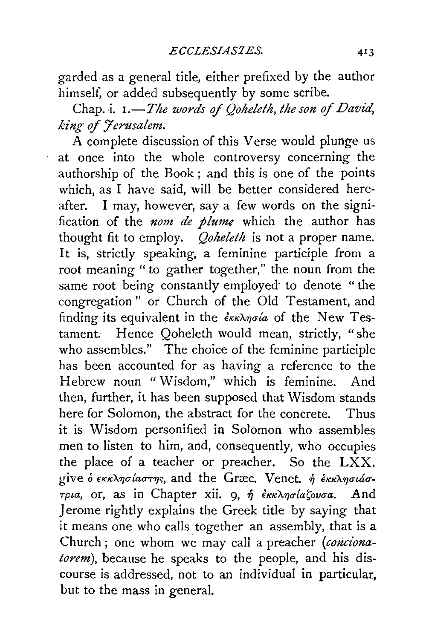garded as a general title, either prefixed by the author himself, or added subsequently by some scribe.

Chap. i. 1.—*The words of Ooheleth, the son of David*, *king of 7 erusalem.* 

A complete discussion of this Verse would plunge us at once into the whole controversy concerning the authorship of the Book; and this is one of the points which, as I have said, will be better considered hereafter. I may, however, say a few words on the signification of the *nom de plume* which the author has thought fit to employ. *Qoheleth* is not a proper name. It is, strictly speaking, a feminine participle from a root meaning "to gather together," the noun from the same root being constantly employed to denote "the congregation" or Church of the Old Testament, and finding its equivalent in the  $\epsilon_{KK}$  $\lambda_{\eta\sigma}$  is of the New Testament. Hence Qoheleth would mean, strictly, "she who assembles." The choice of the feminine participle has been accounted for as having a reference to the Hebrew noun "Wisdom," which is feminine. And then, further, it has been supposed that Wisdom stands here for Solomon, the abstract for the concrete. Thus it is Wisdom personified in Solomon who assembles men to listen to him, and, consequently, who occupies the place of a teacher or preacher. So the LXX. give  $\delta$   $\epsilon$ *KK* $\lambda$ *nolaorns*, and the Græc. Venet.  $\eta$   $\epsilon$ *KK* $\lambda$ *noláo* $τρια$ , or, as in Chapter xii. 9, ή εκκλησίαζουσα. And Jerome rightly explains the Greek title by saying that it means one who calls together an assembly, that is a Church ; one whom we may call a preacher *(concionatorem*), because he speaks to the people, and his discourse is addressed, not to an individual in particular, but to the mass in general.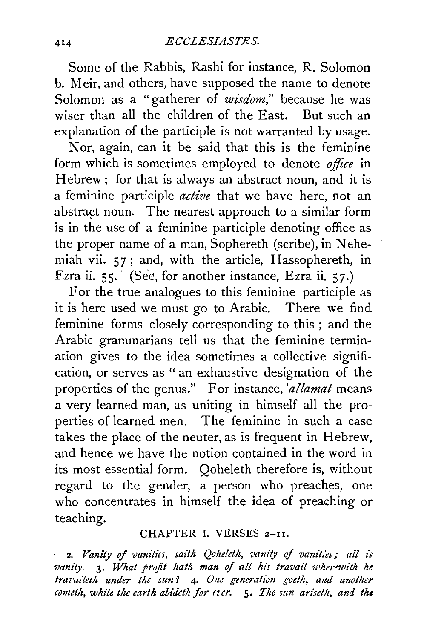Some of the Rabbis, Rashi for instance, R. Solomon b. Meir, and others, have supposed the name to denote Solomon as a "gatherer of *wisdom*," because he was wiser than all the children of the East. But such an explanation of the participle is not warranted by usage.

Nor, again, can it be said that this is the feminine form which is sometimes employed to denote *office* in Hebrew; for that is always an abstract noun, and it is a feminine participle *active* that we have here, not an abstract noun. The nearest approach to a similar form is in the use of a feminine participle denoting office as the proper name of a man, Sophereth (scribe), in Nehemiah vii. 5 *7* ; and, with the article, Hassophereth, in Ezra ii. 55. (See, for another instance, Ezra ii. 57.)

For the true analogues to this feminine participle as it is here used we must go to Arabic. There we find feminine forms closely corresponding to this ; and the Arabic grammarians tell us that the feminine termination gives to the idea sometimes a collective signification, or serves as " an exhaustive designation of the properties of the genus." For instance, *'allamat* means a very learned man, as uniting in himself all the properties of learned men. The feminine in such a case takes the place of the neuter, as is frequent in Hebrew, and hence we have the notion contained in the word in its most essential form. Qoheleth therefore is, without regard to the gender, a person who preaches, one who concentrates in himself the idea of preaching or teaching.

## CHAPTER I. VERSES 2-11.

2. *Vanity of vanities, saith Qoheleth, vanity of vanities; all is vanity.* **3.** What profit hath man of all his travail wherewith he *travaileth under the sun?* 4. One generation goeth, and another *cometh, while the earth abideth for cver.* 5. *The sun ariseth, and the*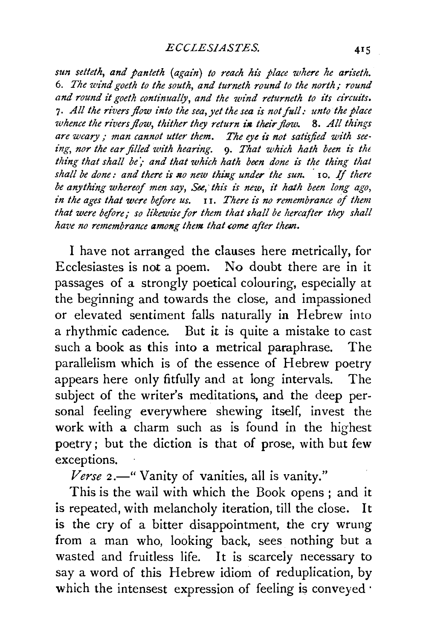*sun setteth, and panteth (again) to reach his place where he ariseth.*  6. *The wind goeth to the south, and turneth round to the north; round and round it goeth continually, and the wind returneth to its circuits.*  7. All the rivers flow into the sea, yet the sea is not full: unto the place *whence the rivers flow, thither they return in their flow.* 8. All things *are weary* ; *man cannot utter them. The eye ii not satt'sjied with seeing, nor the ear filled with hearing.* 9. *That which hath been is th<*  thing that shall be; and that which hath been done is the thing that *shall be done: and there is no new thing under the sun.* 10. If there be anything whereof men say, See, this is new, it hath been long ago, *in the ages that were before us.* 11. *There is no remembrance of them*  that were before; so likewise for them that shall be hereafter they shall *have no remembrance among them that come after them.* 

I have not arranged the clauses here metrically, for Ecclesiastes is not a poem. No doubt there are in it passages of a strongly poetical colouring, especially at the beginning and towards the close, and impassioned or elevated sentiment falls naturally in Hebrew into a rhythmic cadence. But it is quite a mistake to cast such a book as this into a metrical paraphrase. The parallelism which is of the essence of Hebrew poetry appears here only fitfully and at long intervals. The subject of the writer's meditations, and the deep personal feeling everywhere shewing itself, invest the work with a charm such as is found in the highest poetry; but the diction is that of prose, with but few exceptions.

Verse 2.<sup>"</sup> Vanity of vanities, all is vanity."

This is the wail with which the Book opens ; and it is repeated, with melancholy iteration, till the close. It is the cry of a bitter disappointment, the cry wrung from a man who, looking back, sees nothing but a wasted and fruitless life. It is scarcely necessary to say a word of this Hebrew idiom of reduplication, by which the intensest expression of feeling is conveyed ·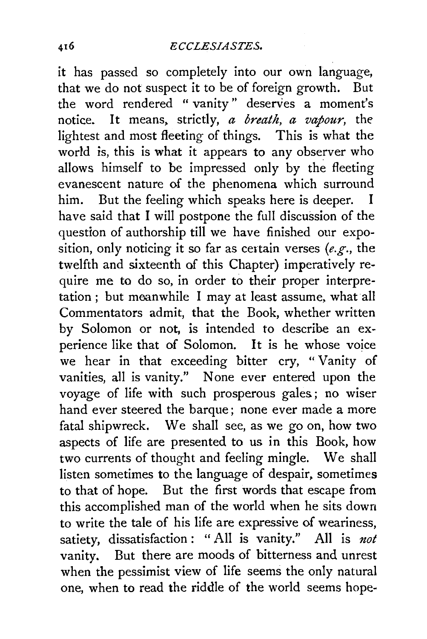it has passed so completely into our own language, that we do not suspect it to be of foreign growth. But the word rendered "vanity" deserves a moment's notice. It means. strictly, *a breath, a vapour,* the lightest and most fleeting of things. This is what the world is, this is what it appears to any observer who allows himself to be impressed only by the fleeting evanescent nature of the phenomena which surround him. But the feeling which speaks here is deeper. have said that I will postpone the full discussion of the question of authorship till we have finished our exposition, only noticing it so far as ceitain verses *(e.g.,* the twelfth and sixteenth of this Chapter) imperatively require me to do so, in order to their proper interpretation ; but meanwhile I may at least assume. what all Commentators admit, that the Book, whether written by Solomon or not, is intended to describe an experience like that of Solomon. It is he whose voice we hear in that exceeding bitter cry, " Vanity of vanities, all is vanity." None ever entered upon the voyage of life with such prosperous gales; no wiser hand ever steered the barque; none ever made a more fatal shipwreck. We shall see, as we go on, how two aspects of life are presented to us in this Book, how two currents of thought and feeling mingle. We shall listen sometimes to the language of despair, sometimes to that of hope. But the first words that escape from this accomplished man of the world when he sits down to write the tale of his life are expressive of weariness, satiety, dissatisfaction : "All is vanity." All is *not*  vanity. But there are moods of bitterness and unrest when the pessimist view of life seems the only natural one, when to read the riddle of the world seems hope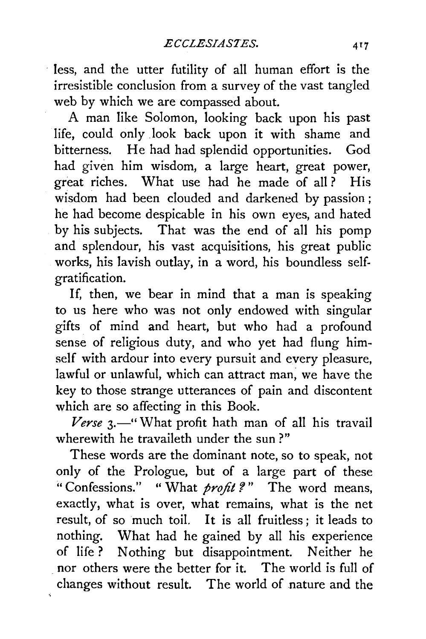less, and the utter futility of all human effort is the irresistible conclusion from a survey of the vast tangled web by which we are compassed about.

A man like Solomon, looking back upon his past life, could only look back upon it with shame and bitterness. He had had splendid opportunities. God had given him wisdom, a large heart, great power, great riches. What use had he made of all? His wisdom had been clouded and darkened by passion ; he had become despicable in his own eyes, and hated by his subjects. That was the end of all his pomp and splendour, his vast acquisitions, his great public works, his lavish outlay, in a word, his boundless selfgratification.

If, then, we bear in mind that a man is speaking to us here who was not only endowed with singular gifts of mind and heart, but who had a profound sense of religious duty, and who yet had flung himself with ardour into every pursuit and every pleasure, lawful or unlawful, which can attract man; we have the key to those strange utterances of pain and discontent which are so affecting in this Book.

Verse 3.-" What profit hath man of all his travail wherewith he travaileth under the sun ?"

These words are the dominant note, so to speak, not only of the Prologue, but of a large part of these " Confessions." " What *profit?*" The word means, exactly, what is over, what remains, what is the net result, of so much toil. It is all fruitless; it leads to nothing. What had he gained by all his experience of life ? Nothing but disappointment. Neither he . nor others were the better for it. The world is full of changes without result. The world of nature and the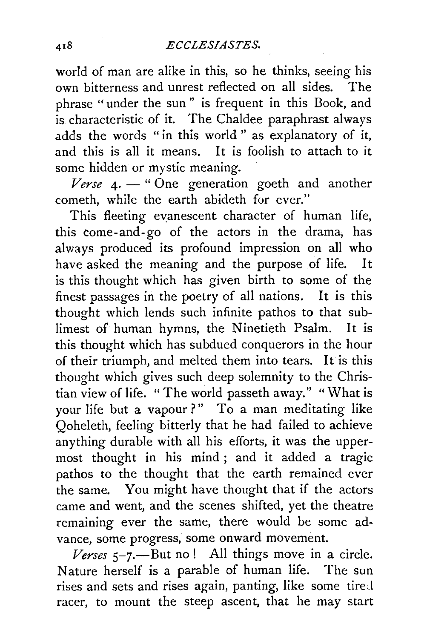world of man are alike in this, so he thinks, seeing his own bitterness and unrest reflected on all sides. The phrase "under the sun" is frequent in this Book, and is characteristic of it. The Chaldee paraphrast always adds the words "in this world " as explanatory of it, and this is all it means. It is foolish to attach to it some hidden or mystic meaning.

 *4.*  $-$  *"One generation goeth and another* cometh, while the earth abideth for ever."

This fleeting evanescent character of human life, this come- and- go of the actors in the drama, has always produced its profound impression on all who have asked the meaning and the purpose of life. It is this thought which has given birth to some of the finest passages in the poetry of all nations. It is this thought which lends such infinite pathos to that sublimest of human hymns, the Ninetieth Psalm. It is this thought which has subdued conquerors in the hour of their triumph, and melted them into tears. It is this thought which gives such deep solemnity to the Christian view of life. "The world passeth away." "What is your life but a vapour?" To a man meditating like Qoheleth, feeling bitterly that he had failed to achieve anything durable with all his efforts, it was the uppermost thought in his mind ; and it added a tragic pathos to the thought that the earth remained ever the same. You might have thought that if the actors came and went, and the scenes shifted, yet the theatre remaining ever the same, there would be some advance, some progress, some onward movement.

 $$ Nature herself is a parable of human life. The sun rises and sets and rises again, panting, like some tired racer, to mount the steep ascent, that he may start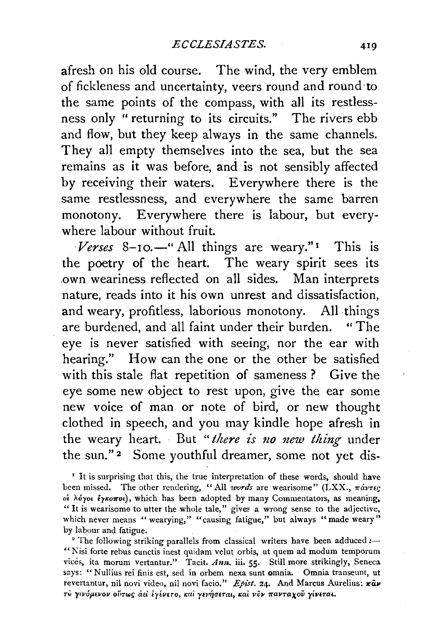afresh on his old course. The wind, the very emblem of fickleness and uncertainty, veers round and round ·to the same points of the compass, with all its restlessness only " returning to its circuits." The rivers ebb and flow, but they keep always in the same channels. They all empty themselves into the sea, but the sea remains as it was before, and is not sensibly affected by receiving their waters. Everywhere there is the same restlessness, and everywhere the same barren monotony. Everywhere there is labour, but everywhere labour without fruit.

*Verses* 8-10.<sup>'</sup> All things are weary."<sup>1</sup> This is the poetry of the heart. The weary spirit sees its .own weariness reflected on all sides. Man interprets nature, reads into it his own unrest and dissatisfaction, and weary, profitless, laborious monotony. All things are burdened, and all faint under their burden. "The eye is never satisfied with seeing, nor the ear with hearing." How can the one or the other be satisfied with this stale flat repetition of sameness ? Give the eye some new object to rest upon, give the ear some new voice of man or note of bird, or new thought clothed in speech, and you may kindle hope afresh in the weary heart. But *"there is no new thing* under the sun."<sup>2</sup> Some youthful dreamer, some not yet dis-

<sup>I</sup> It is surprising that this, the true interpretation of these words, should have been missed. The other rendering, "All *words* are wearisome" (LXX.,  $\pi\acute{a}v\tau\epsilon\varsigma$ oi λόγοι έγκοποι), which has been adopted by many Commentators, as meaning, " It is wearisome to utter the whole tale," gives a wrong sense to the adjective, which never means "wearying," "causing fatigue," but always "made weary" by labour and fatigue.<br><sup>2</sup> The following striking parallels from classical writers have been adduced *:--*

" Nisi forte rebus cunctis inest quidam velut orbis, ut quem ad modum temporum vices, ita morum vertantur." Tacit. *Ann.* iii. 55. Still more strikingly, Seneca says: "Nullius rei finis est, sed in orbem nexa sunt omnia. Omnia transeunt, ut revertantur, nil novi video, nil novi facio." Epist. 24. And Marcus Aurelius:  $\pi \tilde{a} \nu$ **TU yiv6µe11ov oi'1rw'** clci **tyEvETo,** *1eai* **ynrlJrrETal> 11:ai. vliv 1C'avTaxoV** *')'iVtTaL.*